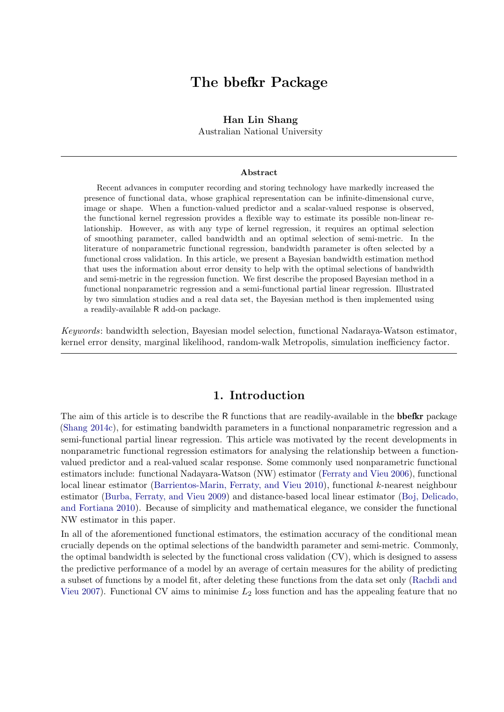# The bbefkr Package

### Han Lin Shang

Australian National University

#### Abstract

Recent advances in computer recording and storing technology have markedly increased the presence of functional data, whose graphical representation can be infinite-dimensional curve, image or shape. When a function-valued predictor and a scalar-valued response is observed, the functional kernel regression provides a flexible way to estimate its possible non-linear relationship. However, as with any type of kernel regression, it requires an optimal selection of smoothing parameter, called bandwidth and an optimal selection of semi-metric. In the literature of nonparametric functional regression, bandwidth parameter is often selected by a functional cross validation. In this article, we present a Bayesian bandwidth estimation method that uses the information about error density to help with the optimal selections of bandwidth and semi-metric in the regression function. We first describe the proposed Bayesian method in a functional nonparametric regression and a semi-functional partial linear regression. Illustrated by two simulation studies and a real data set, the Bayesian method is then implemented using a readily-available R add-on package.

Keywords: bandwidth selection, Bayesian model selection, functional Nadaraya-Watson estimator, kernel error density, marginal likelihood, random-walk Metropolis, simulation inefficiency factor.

# 1. Introduction

The aim of this article is to describe the R functions that are readily-available in the **bbefkr** package [\(Shang](#page-13-0) [2014c\)](#page-13-0), for estimating bandwidth parameters in a functional nonparametric regression and a semi-functional partial linear regression. This article was motivated by the recent developments in nonparametric functional regression estimators for analysing the relationship between a functionvalued predictor and a real-valued scalar response. Some commonly used nonparametric functional estimators include: functional Nadayara-Watson (NW) estimator [\(Ferraty and Vieu](#page-13-1) [2006\)](#page-13-1), functional local linear estimator [\(Barrientos-Marin, Ferraty, and Vieu](#page-12-0) [2010\)](#page-12-0), functional k-nearest neighbour estimator [\(Burba, Ferraty, and Vieu](#page-12-1) [2009\)](#page-12-1) and distance-based local linear estimator [\(Boj, Delicado,](#page-12-2) [and Fortiana](#page-12-2) [2010\)](#page-12-2). Because of simplicity and mathematical elegance, we consider the functional NW estimator in this paper.

In all of the aforementioned functional estimators, the estimation accuracy of the conditional mean crucially depends on the optimal selections of the bandwidth parameter and semi-metric. Commonly, the optimal bandwidth is selected by the functional cross validation (CV), which is designed to assess the predictive performance of a model by an average of certain measures for the ability of predicting a subset of functions by a model fit, after deleting these functions from the data set only [\(Rachdi and](#page-13-2) [Vieu](#page-13-2) [2007\)](#page-13-2). Functional CV aims to minimise  $L_2$  loss function and has the appealing feature that no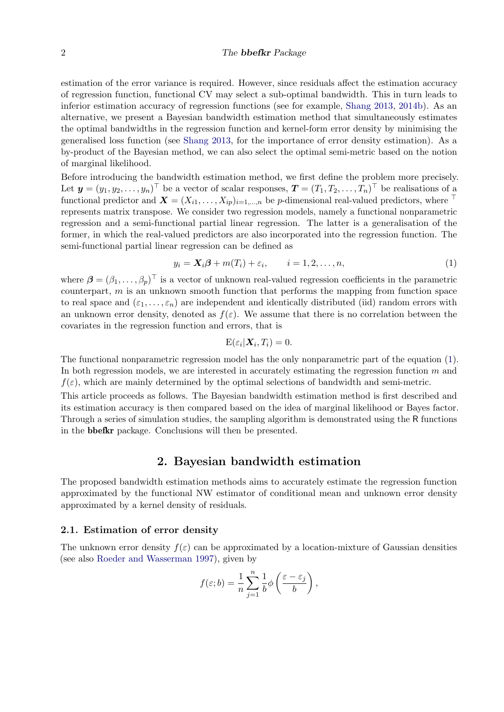#### 2 The bbefkr Package

estimation of the error variance is required. However, since residuals affect the estimation accuracy of regression function, functional CV may select a sub-optimal bandwidth. This in turn leads to inferior estimation accuracy of regression functions (see for example, [Shang](#page-13-3) [2013,](#page-13-3) [2014b\)](#page-13-4). As an alternative, we present a Bayesian bandwidth estimation method that simultaneously estimates the optimal bandwidths in the regression function and kernel-form error density by minimising the generalised loss function (see [Shang](#page-13-3) [2013,](#page-13-3) for the importance of error density estimation). As a by-product of the Bayesian method, we can also select the optimal semi-metric based on the notion of marginal likelihood.

Before introducing the bandwidth estimation method, we first define the problem more precisely. Let  $\mathbf{y} = (y_1, y_2, \dots, y_n)^\top$  be a vector of scalar responses,  $\mathbf{T} = (T_1, T_2, \dots, T_n)^\top$  be realisations of a functional predictor and  $\mathbf{X} = (X_{i1}, \ldots, X_{ip})_{i=1,\ldots,n}$  be p-dimensional real-valued predictors, where  $\top$ represents matrix transpose. We consider two regression models, namely a functional nonparametric regression and a semi-functional partial linear regression. The latter is a generalisation of the former, in which the real-valued predictors are also incorporated into the regression function. The semi-functional partial linear regression can be defined as

$$
y_i = \mathbf{X}_i \boldsymbol{\beta} + m(T_i) + \varepsilon_i, \qquad i = 1, 2, \dots, n,
$$
\n<sup>(1)</sup>

where  $\boldsymbol{\beta} = (\beta_1, \ldots, \beta_p)^\top$  is a vector of unknown real-valued regression coefficients in the parametric counterpart,  $m$  is an unknown smooth function that performs the mapping from function space to real space and  $(\varepsilon_1, \ldots, \varepsilon_n)$  are independent and identically distributed (iid) random errors with an unknown error density, denoted as  $f(\varepsilon)$ . We assume that there is no correlation between the covariates in the regression function and errors, that is

<span id="page-1-0"></span>
$$
E(\varepsilon_i|\boldsymbol{X}_i,T_i)=0.
$$

The functional nonparametric regression model has the only nonparametric part of the equation [\(1\)](#page-1-0). In both regression models, we are interested in accurately estimating the regression function  $m$  and  $f(\varepsilon)$ , which are mainly determined by the optimal selections of bandwidth and semi-metric.

This article proceeds as follows. The Bayesian bandwidth estimation method is first described and its estimation accuracy is then compared based on the idea of marginal likelihood or Bayes factor. Through a series of simulation studies, the sampling algorithm is demonstrated using the R functions in the bbefkr package. Conclusions will then be presented.

### 2. Bayesian bandwidth estimation

The proposed bandwidth estimation methods aims to accurately estimate the regression function approximated by the functional NW estimator of conditional mean and unknown error density approximated by a kernel density of residuals.

#### 2.1. Estimation of error density

The unknown error density  $f(\varepsilon)$  can be approximated by a location-mixture of Gaussian densities (see also [Roeder and Wasserman](#page-13-5) [1997\)](#page-13-5), given by

$$
f(\varepsilon;b) = \frac{1}{n}\sum_{j=1}^{n} \frac{1}{b}\phi\left(\frac{\varepsilon-\varepsilon_j}{b}\right),
$$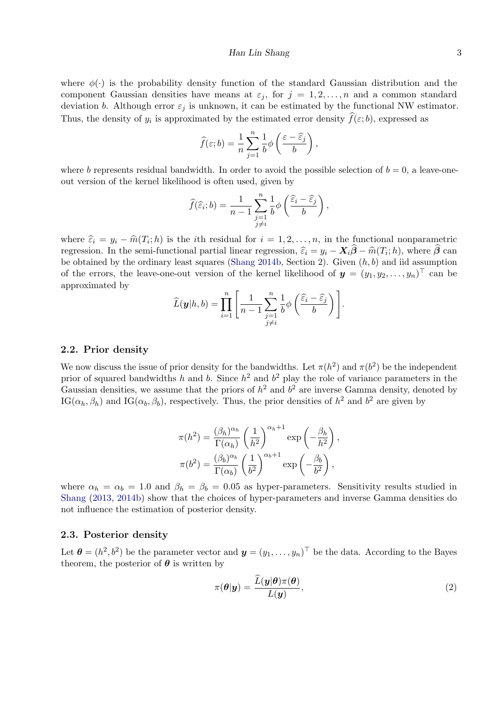where  $\phi(\cdot)$  is the probability density function of the standard Gaussian distribution and the component Gaussian densities have means at  $\varepsilon_j$ , for  $j = 1, 2, \ldots, n$  and a common standard deviation b. Although error  $\varepsilon_j$  is unknown, it can be estimated by the functional NW estimator. Thus, the density of  $y_i$  is approximated by the estimated error density  $f(\varepsilon; b)$ , expressed as

$$
\widehat{f}(\varepsilon;b) = \frac{1}{n}\sum_{j=1}^{n} \frac{1}{b}\phi\left(\frac{\varepsilon-\widehat{\varepsilon}_{j}}{b}\right),\,
$$

where b represents residual bandwidth. In order to avoid the possible selection of  $b = 0$ , a leave-oneout version of the kernel likelihood is often used, given by

$$
\widehat{f}(\widehat{\varepsilon}_i; b) = \frac{1}{n-1} \sum_{\substack{j=1 \ j \neq i}}^n \frac{1}{b} \phi\left(\frac{\widehat{\varepsilon}_i - \widehat{\varepsilon}_j}{b}\right),
$$

where  $\hat{\varepsilon}_i = y_i - \hat{m}(T_i; h)$  is the *i*th residual for  $i = 1, 2, ..., n$ , in the functional nonparametric normalized in the semi-functional nonparametric normal non- $\hat{a}$  on  $\hat{a}$  and  $\hat{a}$  and  $\hat{b}$  and  $\hat{a}$  and regression. In the semi-functional partial linear regression,  $\hat{\varepsilon}_i = y_i - \mathbf{X}_i \boldsymbol{\beta} - \hat{m}(T_i; h)$ , where  $\boldsymbol{\beta}$  can<br>be obtained by the ordinary losst squares (Shang 2014b, Section 2). Given (b, b) and iid assumption be obtained by the ordinary least squares [\(Shang](#page-13-4) [2014b,](#page-13-4) Section 2). Given  $(h, b)$  and iid assumption of the errors, the leave-one-out version of the kernel likelihood of  $y = (y_1, y_2, \ldots, y_n)^\top$  can be approximated by

$$
\widehat{L}(\boldsymbol{y}|h,b) = \prod_{i=1}^n \left[ \frac{1}{n-1} \sum_{\substack{j=1 \ j \neq i}}^n \frac{1}{b} \phi\left(\frac{\widehat{\varepsilon}_i - \widehat{\varepsilon}_j}{b}\right) \right].
$$

#### 2.2. Prior density

We now discuss the issue of prior density for the bandwidths. Let  $\pi(h^2)$  and  $\pi(b^2)$  be the independent prior of squared bandwidths h and b. Since  $h^2$  and  $b^2$  play the role of variance parameters in the Gaussian densities, we assume that the priors of  $h^2$  and  $b^2$  are inverse Gamma density, denoted by IG( $\alpha_h, \beta_h$ ) and IG( $\alpha_b, \beta_b$ ), respectively. Thus, the prior densities of  $h^2$  and  $b^2$  are given by

$$
\pi(h^2) = \frac{(\beta_h)^{\alpha_h}}{\Gamma(\alpha_h)} \left(\frac{1}{h^2}\right)^{\alpha_h+1} \exp\left(-\frac{\beta_h}{h^2}\right),
$$

$$
\pi(b^2) = \frac{(\beta_b)^{\alpha_b}}{\Gamma(\alpha_b)} \left(\frac{1}{b^2}\right)^{\alpha_b+1} \exp\left(-\frac{\beta_b}{b^2}\right),
$$

where  $\alpha_h = \alpha_b = 1.0$  and  $\beta_h = \beta_b = 0.05$  as hyper-parameters. Sensitivity results studied in [Shang](#page-13-3) [\(2013,](#page-13-3) [2014b\)](#page-13-4) show that the choices of hyper-parameters and inverse Gamma densities do not influence the estimation of posterior density.

#### 2.3. Posterior density

Let  $\boldsymbol{\theta} = (h^2, b^2)$  be the parameter vector and  $\boldsymbol{y} = (y_1, \dots, y_n)^\top$  be the data. According to the Bayes theorem, the posterior of  $\theta$  is written by

<span id="page-2-0"></span>
$$
\pi(\boldsymbol{\theta}|\mathbf{y}) = \frac{\widetilde{L}(\mathbf{y}|\boldsymbol{\theta})\pi(\boldsymbol{\theta})}{L(\mathbf{y})},
$$
\n(2)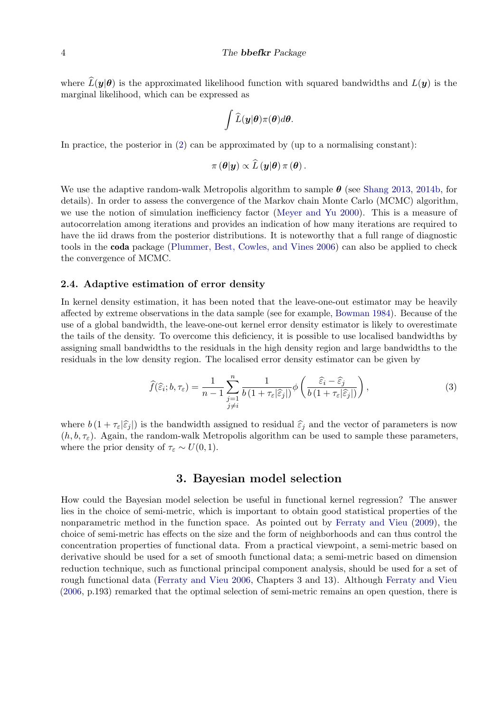where  $\widehat{L}(\bm{y}|\bm{\theta})$  is the approximated likelihood function with squared bandwidths and  $L(\bm{y})$  is the marginal likelihood, which can be expressed as

$$
\int \widehat{L}(\boldsymbol{y}|\boldsymbol{\theta})\pi(\boldsymbol{\theta})d\boldsymbol{\theta}.
$$

In practice, the posterior in  $(2)$  can be approximated by (up to a normalising constant):

$$
\pi(\boldsymbol{\theta}|\boldsymbol{y})\propto\widehat{L}(\boldsymbol{y}|\boldsymbol{\theta})\,\pi(\boldsymbol{\theta}).
$$

We use the adaptive random-walk Metropolis algorithm to sample  $\theta$  (see [Shang](#page-13-3) [2013,](#page-13-3) [2014b,](#page-13-4) for details). In order to assess the convergence of the Markov chain Monte Carlo (MCMC) algorithm, we use the notion of simulation inefficiency factor [\(Meyer and Yu](#page-13-6) [2000\)](#page-13-6). This is a measure of autocorrelation among iterations and provides an indication of how many iterations are required to have the iid draws from the posterior distributions. It is noteworthy that a full range of diagnostic tools in the coda package [\(Plummer, Best, Cowles, and Vines](#page-13-7) [2006\)](#page-13-7) can also be applied to check the convergence of MCMC.

#### 2.4. Adaptive estimation of error density

In kernel density estimation, it has been noted that the leave-one-out estimator may be heavily affected by extreme observations in the data sample (see for example, [Bowman](#page-12-3) [1984\)](#page-12-3). Because of the use of a global bandwidth, the leave-one-out kernel error density estimator is likely to overestimate the tails of the density. To overcome this deficiency, it is possible to use localised bandwidths by assigning small bandwidths to the residuals in the high density region and large bandwidths to the residuals in the low density region. The localised error density estimator can be given by

<span id="page-3-0"></span>
$$
\widehat{f}(\widehat{\varepsilon}_i; b, \tau_{\varepsilon}) = \frac{1}{n-1} \sum_{\substack{j=1 \ j \neq i}}^n \frac{1}{b(1 + \tau_{\varepsilon}|\widehat{\varepsilon}_j|)} \phi\left(\frac{\widehat{\varepsilon}_i - \widehat{\varepsilon}_j}{b(1 + \tau_{\varepsilon}|\widehat{\varepsilon}_j|)}\right),\tag{3}
$$

where  $b(1 + \tau_{\varepsilon}|\hat{\varepsilon}_j|)$  is the bandwidth assigned to residual  $\hat{\varepsilon}_j$  and the vector of parameters is now  $(h, b, \tau_{\varepsilon})$ . Again, the random-walk Metropolis algorithm can be used to sample these parameters, where the prior density of  $\tau_{\varepsilon} \sim U(0, 1)$ .

## 3. Bayesian model selection

How could the Bayesian model selection be useful in functional kernel regression? The answer lies in the choice of semi-metric, which is important to obtain good statistical properties of the nonparametric method in the function space. As pointed out by [Ferraty and Vieu](#page-13-8) [\(2009\)](#page-13-8), the choice of semi-metric has effects on the size and the form of neighborhoods and can thus control the concentration properties of functional data. From a practical viewpoint, a semi-metric based on derivative should be used for a set of smooth functional data; a semi-metric based on dimension reduction technique, such as functional principal component analysis, should be used for a set of rough functional data [\(Ferraty and Vieu](#page-13-1) [2006,](#page-13-1) Chapters 3 and 13). Although [Ferraty and Vieu](#page-13-1) [\(2006,](#page-13-1) p.193) remarked that the optimal selection of semi-metric remains an open question, there is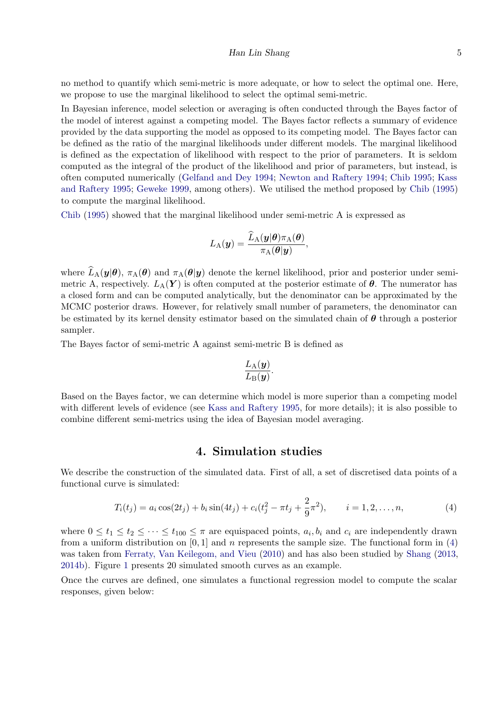#### Han Lin Shang 5

no method to quantify which semi-metric is more adequate, or how to select the optimal one. Here, we propose to use the marginal likelihood to select the optimal semi-metric.

In Bayesian inference, model selection or averaging is often conducted through the Bayes factor of the model of interest against a competing model. The Bayes factor reflects a summary of evidence provided by the data supporting the model as opposed to its competing model. The Bayes factor can be defined as the ratio of the marginal likelihoods under different models. The marginal likelihood is defined as the expectation of likelihood with respect to the prior of parameters. It is seldom computed as the integral of the product of the likelihood and prior of parameters, but instead, is often computed numerically [\(Gelfand and Dey](#page-13-9) [1994;](#page-13-9) [Newton and Raftery](#page-13-10) [1994;](#page-13-10) [Chib](#page-12-4) [1995;](#page-12-4) [Kass](#page-13-11) [and Raftery](#page-13-11) [1995;](#page-13-11) [Geweke](#page-13-12) [1999,](#page-13-12) among others). We utilised the method proposed by [Chib](#page-12-4) [\(1995\)](#page-12-4) to compute the marginal likelihood.

[Chib](#page-12-4) [\(1995\)](#page-12-4) showed that the marginal likelihood under semi-metric A is expressed as

$$
L_{\rm A}(\boldsymbol{y}) = \frac{\widehat{L}_{\rm A}(\boldsymbol{y}|\boldsymbol{\theta})\pi_{\rm A}(\boldsymbol{\theta})}{\pi_{\rm A}(\boldsymbol{\theta}|\boldsymbol{y})},
$$

where  $\widehat{L}_{A}(\bm{y}|\bm{\theta}), \pi_{A}(\bm{\theta})$  and  $\pi_{A}(\bm{\theta}|\bm{y})$  denote the kernel likelihood, prior and posterior under semimetric A, respectively.  $L_A(Y)$  is often computed at the posterior estimate of  $\theta$ . The numerator has a closed form and can be computed analytically, but the denominator can be approximated by the MCMC posterior draws. However, for relatively small number of parameters, the denominator can be estimated by its kernel density estimator based on the simulated chain of  $\theta$  through a posterior sampler.

The Bayes factor of semi-metric A against semi-metric B is defined as

$$
\frac{L_{\rm A}(\bm{y})}{L_{\rm B}(\bm{y})}.
$$

Based on the Bayes factor, we can determine which model is more superior than a competing model with different levels of evidence (see [Kass and Raftery](#page-13-11) [1995,](#page-13-11) for more details); it is also possible to combine different semi-metrics using the idea of Bayesian model averaging.

### <span id="page-4-0"></span>4. Simulation studies

We describe the construction of the simulated data. First of all, a set of discretised data points of a functional curve is simulated:

$$
T_i(t_j) = a_i \cos(2t_j) + b_i \sin(4t_j) + c_i(t_j^2 - \pi t_j + \frac{2}{9}\pi^2), \qquad i = 1, 2, ..., n,
$$
\n(4)

where  $0 \le t_1 \le t_2 \le \cdots \le t_{100} \le \pi$  are equispaced points,  $a_i, b_i$  and  $c_i$  are independently drawn from a uniform distribution on [0, 1] and n represents the sample size. The functional form in [\(4\)](#page-4-0) was taken from [Ferraty, Van Keilegom, and Vieu](#page-12-5) [\(2010\)](#page-12-5) and has also been studied by [Shang](#page-13-3) [\(2013,](#page-13-3) [2014b\)](#page-13-4). Figure [1](#page-5-0) presents 20 simulated smooth curves as an example.

Once the curves are defined, one simulates a functional regression model to compute the scalar responses, given below: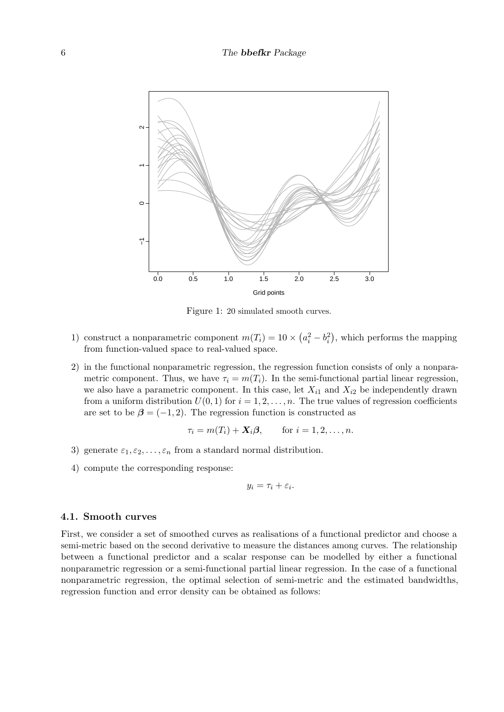<span id="page-5-0"></span>

Figure 1: 20 simulated smooth curves.

- 1) construct a nonparametric component  $m(T_i) = 10 \times (a_i^2 b_i^2)$ , which performs the mapping from function-valued space to real-valued space.
- 2) in the functional nonparametric regression, the regression function consists of only a nonparametric component. Thus, we have  $\tau_i = m(T_i)$ . In the semi-functional partial linear regression, we also have a parametric component. In this case, let  $X_{i1}$  and  $X_{i2}$  be independently drawn from a uniform distribution  $U(0, 1)$  for  $i = 1, 2, ..., n$ . The true values of regression coefficients are set to be  $\beta = (-1, 2)$ . The regression function is constructed as

$$
\tau_i = m(T_i) + \mathbf{X}_i \boldsymbol{\beta}, \quad \text{for } i = 1, 2, \dots, n.
$$

- 3) generate  $\varepsilon_1, \varepsilon_2, \ldots, \varepsilon_n$  from a standard normal distribution.
- 4) compute the corresponding response:

$$
y_i = \tau_i + \varepsilon_i.
$$

#### 4.1. Smooth curves

First, we consider a set of smoothed curves as realisations of a functional predictor and choose a semi-metric based on the second derivative to measure the distances among curves. The relationship between a functional predictor and a scalar response can be modelled by either a functional nonparametric regression or a semi-functional partial linear regression. In the case of a functional nonparametric regression, the optimal selection of semi-metric and the estimated bandwidths, regression function and error density can be obtained as follows: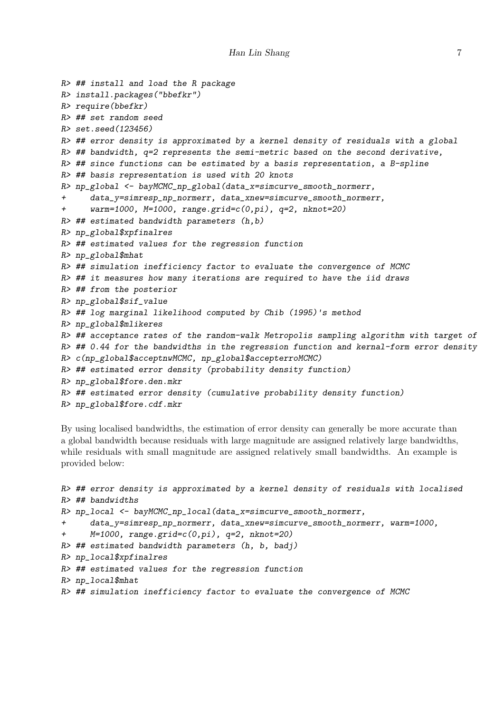```
R> ## install and load the R package
R> install.packages("bbefkr")
R> require(bbefkr)
R> ## set random seed
R> set.seed(123456)
R> ## error density is approximated by a kernel density of residuals with a global
R> ## bandwidth, q=2 represents the semi-metric based on the second derivative,
R \rightarrow ## since functions can be estimated by a basis representation, a B-spline
R> ## basis representation is used with 20 knots
R> np_global <- bayMCMC_np_global(data_x=simcurve_smooth_normerr,
+ data_y=simresp_np_normerr, data_xnew=simcurve_smooth_normerr,
+ warm=1000, M=1000, range.grid=c(0,pi), q=2, nknot=20)
R> ## estimated bandwidth parameters (h,b)
R> np_global$xpfinalres
R> ## estimated values for the regression function
R> np_global$mhat
R> ## simulation inefficiency factor to evaluate the convergence of MCMC
R> ## it measures how many iterations are required to have the iid draws
R> ## from the posterior
R> np_global$sif_value
R> ## log marginal likelihood computed by Chib (1995)'s method
R> np_global$mlikeres
R> ## acceptance rates of the random-walk Metropolis sampling algorithm with target of
R> ## 0.44 for the bandwidths in the regression function and kernal-form error density
R> c(np_global$acceptnwMCMC, np_global$accepterroMCMC)
R> ## estimated error density (probability density function)
R> np_global$fore.den.mkr
R> ## estimated error density (cumulative probability density function)
R> np_global$fore.cdf.mkr
```
By using localised bandwidths, the estimation of error density can generally be more accurate than a global bandwidth because residuals with large magnitude are assigned relatively large bandwidths, while residuals with small magnitude are assigned relatively small bandwidths. An example is provided below:

```
R> ## error density is approximated by a kernel density of residuals with localised
R> ## bandwidths
R> np_local <- bayMCMC_np_local(data_x=simcurve_smooth_normerr,
+ data_y=simresp_np_normerr, data_xnew=simcurve_smooth_normerr, warm=1000,
+ M=1000, range.grid=c(0,pi), q=2, nknot=20)
R> ## estimated bandwidth parameters (h, b, badj)
R> np_local$xpfinalres
R> ## estimated values for the regression function
R> np_local$mhat
R> ## simulation inefficiency factor to evaluate the convergence of MCMC
```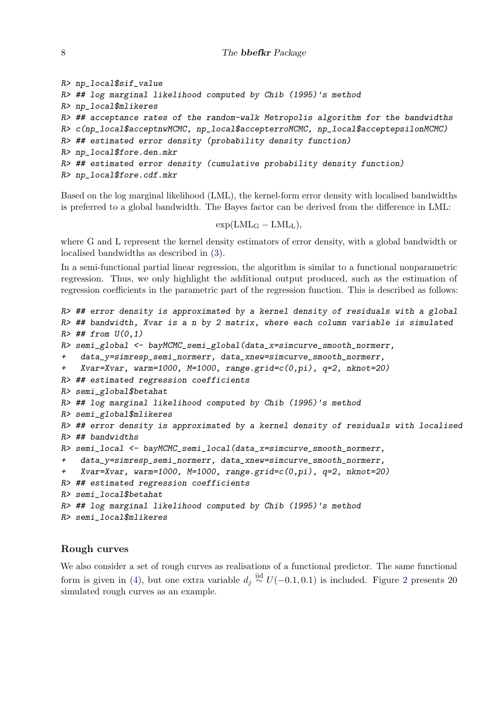```
R> np_local$sif_value
R> ## log marginal likelihood computed by Chib (1995)'s method
R> np_local$mlikeres
R> ## acceptance rates of the random-walk Metropolis algorithm for the bandwidths
R> c(np_local$acceptnwMCMC, np_local$accepterroMCMC, np_local$acceptepsilonMCMC)
R> ## estimated error density (probability density function)
R> np_local$fore.den.mkr
R> ## estimated error density (cumulative probability density function)
R> np_local$fore.cdf.mkr
```
Based on the log marginal likelihood (LML), the kernel-form error density with localised bandwidths is preferred to a global bandwidth. The Bayes factor can be derived from the difference in LML:

 $\exp(\text{LML}_G - \text{LML}_L),$ 

where G and L represent the kernel density estimators of error density, with a global bandwidth or localised bandwidths as described in [\(3\)](#page-3-0).

In a semi-functional partial linear regression, the algorithm is similar to a functional nonparametric regression. Thus, we only highlight the additional output produced, such as the estimation of regression coefficients in the parametric part of the regression function. This is described as follows:

```
R> ## error density is approximated by a kernel density of residuals with a global
R> ## bandwidth, Xvar is a n by 2 matrix, where each column variable is simulated
R \neq # from U(0,1)R> semi_global <- bayMCMC_semi_global(data_x=simcurve_smooth_normerr,
+ data_y=simresp_semi_normerr, data_xnew=simcurve_smooth_normerr,
+ Xvar=Xvar, warm=1000, M=1000, range.grid=c(0,pi), q=2, nknot=20)
R> ## estimated regression coefficients
R> semi_global$betahat
R> ## log marginal likelihood computed by Chib (1995)'s method
R> semi_global$mlikeres
R> ## error density is approximated by a kernel density of residuals with localised
R> ## bandwidths
R> semi_local <- bayMCMC_semi_local(data_x=simcurve_smooth_normerr,
    + data_y=simresp_semi_normerr, data_xnew=simcurve_smooth_normerr,
+ Xvar=Xvar, warm=1000, M=1000, range.grid=c(0,pi), q=2, nknot=20)
R> ## estimated regression coefficients
R> semi_local$betahat
R> ## log marginal likelihood computed by Chib (1995)'s method
R> semi_local$mlikeres
```
### Rough curves

We also consider a set of rough curves as realisations of a functional predictor. The same functional form is given in [\(4\)](#page-4-0), but one extra variable  $d_j \stackrel{\text{iid}}{\sim} U(-0.1, 0.1)$  is included. Figure [2](#page-8-0) presents 20 simulated rough curves as an example.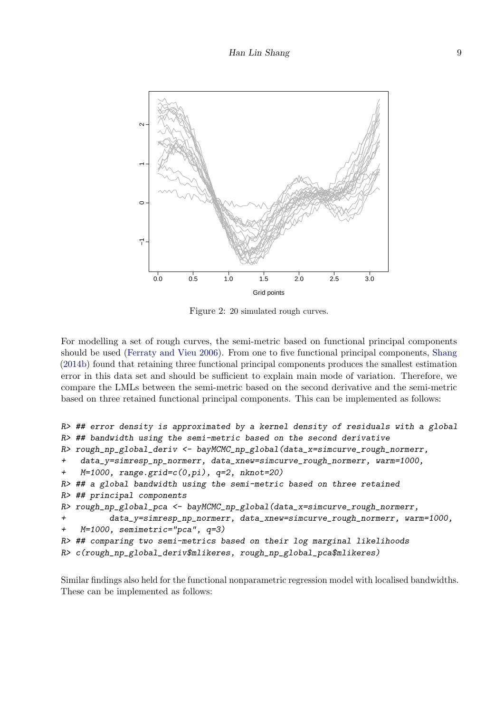<span id="page-8-0"></span>

Figure 2: 20 simulated rough curves.

For modelling a set of rough curves, the semi-metric based on functional principal components should be used [\(Ferraty and Vieu](#page-13-1) [2006\)](#page-13-1). From one to five functional principal components, [Shang](#page-13-4) [\(2014b\)](#page-13-4) found that retaining three functional principal components produces the smallest estimation error in this data set and should be sufficient to explain main mode of variation. Therefore, we compare the LMLs between the semi-metric based on the second derivative and the semi-metric based on three retained functional principal components. This can be implemented as follows:

```
R> ## error density is approximated by a kernel density of residuals with a global
R> ## bandwidth using the semi-metric based on the second derivative
R> rough_np_global_deriv <- bayMCMC_np_global(data_x=simcurve_rough_normerr,
+ data_y=simresp_np_normerr, data_xnew=simcurve_rough_normerr, warm=1000,
+ M=1000, range.grid=c(0,pi), q=2, nknot=20)
R> ## a global bandwidth using the semi-metric based on three retained
R> ## principal components
R> rough_np_global_pca <- bayMCMC_np_global(data_x=simcurve_rough_normerr,
+ data_y=simresp_np_normerr, data_xnew=simcurve_rough_normerr, warm=1000,
+ M=1000, semimetric="pca", q=3)
R> ## comparing two semi-metrics based on their log marginal likelihoods
R> c(rough_np_global_deriv$mlikeres, rough_np_global_pca$mlikeres)
```
Similar findings also held for the functional nonparametric regression model with localised bandwidths. These can be implemented as follows: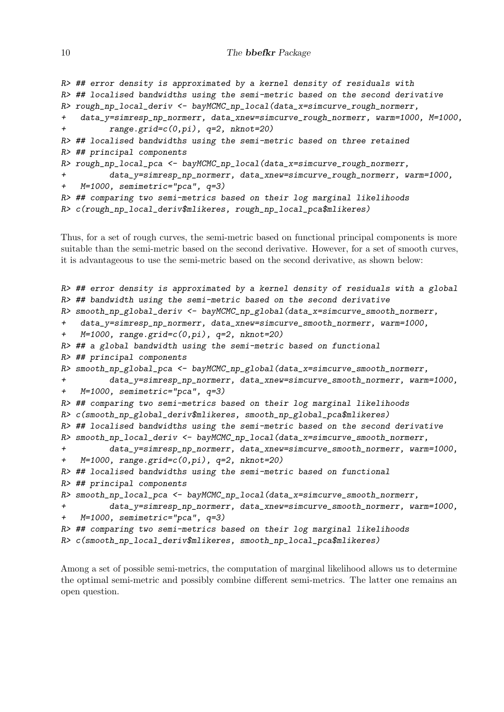```
R> ## error density is approximated by a kernel density of residuals with
R> ## localised bandwidths using the semi-metric based on the second derivative
R> rough_np_local_deriv <- bayMCMC_np_local(data_x=simcurve_rough_normerr,
+ data_y=simresp_np_normerr, data_xnew=simcurve_rough_normerr, warm=1000, M=1000,
+ range.grid=c(0,pi), q=2, nknot=20)
R> ## localised bandwidths using the semi-metric based on three retained
R> ## principal components
R> rough_np_local_pca <- bayMCMC_np_local(data_x=simcurve_rough_normerr,
+ data_y=simresp_np_normerr, data_xnew=simcurve_rough_normerr, warm=1000,
+ M=1000, semimetric="pca", q=3)
R> ## comparing two semi-metrics based on their log marginal likelihoods
R> c(rough_np_local_deriv$mlikeres, rough_np_local_pca$mlikeres)
```
Thus, for a set of rough curves, the semi-metric based on functional principal components is more suitable than the semi-metric based on the second derivative. However, for a set of smooth curves, it is advantageous to use the semi-metric based on the second derivative, as shown below:

```
R> ## error density is approximated by a kernel density of residuals with a global
R> ## bandwidth using the semi-metric based on the second derivative
R> smooth_np_global_deriv <- bayMCMC_np_global(data_x=simcurve_smooth_normerr,
+ data_y=simresp_np_normerr, data_xnew=simcurve_smooth_normerr, warm=1000,
+ M=1000, range.grid=c(0,pi), q=2, nknot=20)
R> ## a global bandwidth using the semi-metric based on functional
R> ## principal components
R> smooth_np_global_pca <- bayMCMC_np_global(data_x=simcurve_smooth_normerr,
+ data_y=simresp_np_normerr, data_xnew=simcurve_smooth_normerr, warm=1000,
+ M=1000, semimetric="pca", q=3)
R> ## comparing two semi-metrics based on their log marginal likelihoods
R> c(smooth_np_global_deriv$mlikeres, smooth_np_global_pca$mlikeres)
R> ## localised bandwidths using the semi-metric based on the second derivative
R> smooth_np_local_deriv <- bayMCMC_np_local(data_x=simcurve_smooth_normerr,
+ data_y=simresp_np_normerr, data_xnew=simcurve_smooth_normerr, warm=1000,
+ M=1000, range.grid=c(0,pi), q=2, nknot=20)
R> ## localised bandwidths using the semi-metric based on functional
R> ## principal components
R> smooth_np_local_pca <- bayMCMC_np_local(data_x=simcurve_smooth_normerr,
+ data_y=simresp_np_normerr, data_xnew=simcurve_smooth_normerr, warm=1000,
+ M=1000, semimetric="pca", q=3)
R> ## comparing two semi-metrics based on their log marginal likelihoods
R> c(smooth_np_local_deriv$mlikeres, smooth_np_local_pca$mlikeres)
```
Among a set of possible semi-metrics, the computation of marginal likelihood allows us to determine the optimal semi-metric and possibly combine different semi-metrics. The latter one remains an open question.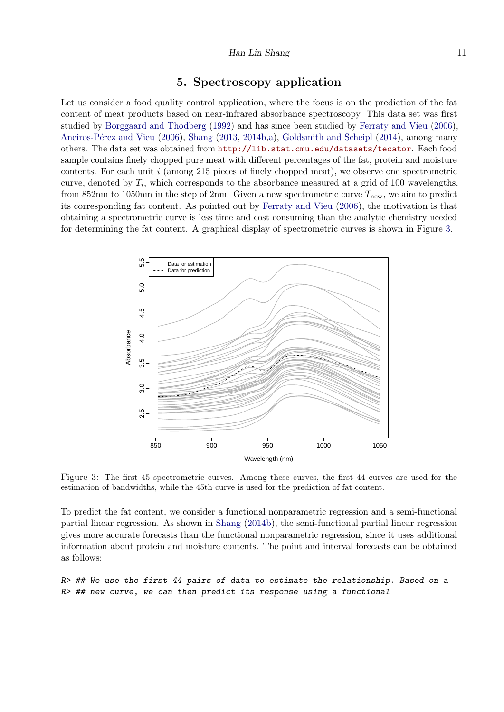# 5. Spectroscopy application

Let us consider a food quality control application, where the focus is on the prediction of the fat content of meat products based on near-infrared absorbance spectroscopy. This data set was first studied by [Borggaard and Thodberg](#page-12-6) [\(1992\)](#page-12-6) and has since been studied by [Ferraty and Vieu](#page-13-1) [\(2006\)](#page-13-1), Aneiros-Pérez and Vieu [\(2006\)](#page-12-7), [Shang](#page-13-3) [\(2013,](#page-13-3) [2014b,](#page-13-4)[a\)](#page-13-13), [Goldsmith and Scheipl](#page-13-14) [\(2014\)](#page-13-14), among many others. The data set was obtained from <http://lib.stat.cmu.edu/datasets/tecator>. Each food sample contains finely chopped pure meat with different percentages of the fat, protein and moisture contents. For each unit  $i$  (among 215 pieces of finely chopped meat), we observe one spectrometric curve, denoted by  $T_i$ , which corresponds to the absorbance measured at a grid of 100 wavelengths, from 852nm to 1050nm in the step of 2nm. Given a new spectrometric curve  $T_{\text{new}}$ , we aim to predict its corresponding fat content. As pointed out by [Ferraty and Vieu](#page-13-1) [\(2006\)](#page-13-1), the motivation is that obtaining a spectrometric curve is less time and cost consuming than the analytic chemistry needed for determining the fat content. A graphical display of spectrometric curves is shown in Figure [3.](#page-10-0)

<span id="page-10-0"></span>

Figure 3: The first 45 spectrometric curves. Among these curves, the first 44 curves are used for the estimation of bandwidths, while the 45th curve is used for the prediction of fat content.

To predict the fat content, we consider a functional nonparametric regression and a semi-functional partial linear regression. As shown in [Shang](#page-13-4) [\(2014b\)](#page-13-4), the semi-functional partial linear regression gives more accurate forecasts than the functional nonparametric regression, since it uses additional information about protein and moisture contents. The point and interval forecasts can be obtained as follows:

R> ## We use the first 44 pairs of data to estimate the relationship. Based on a R> ## new curve, we can then predict its response using a functional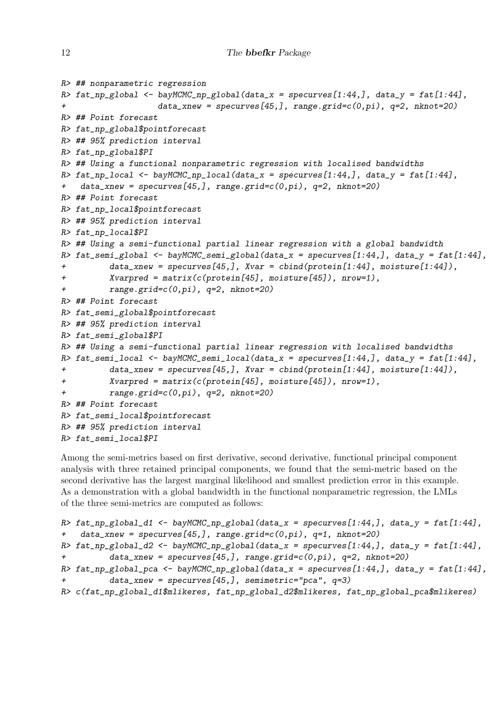```
12 The bbefkr Package
```

```
R> ## nonparametric regression
R> fat_np_global <- bayMCMC_np_global(data_x = specurves[1:44,], data_y = fat[1:44],
+ data_xnew = specurves[45,], range.grid=c(0,pi), q=2, nknot=20)
R> ## Point forecast
R> fat_np_global$pointforecast
R> ## 95% prediction interval
R> fat_np_global$PI
R> ## Using a functional nonparametric regression with localised bandwidths
R> fat_np_local <- bayMCMC_np_local(data_x = specurves[1:44,], data_y = fat[1:44],
+ data_xnew = specurves[45,], range.grid=c(0,pi), q=2, nknot=20)
R> ## Point forecast
R> fat_np_local$pointforecast
R> ## 95% prediction interval
R> fat_np_local$PI
R> ## Using a semi-functional partial linear regression with a global bandwidth
R> fat_semi_global <- bayMCMC_semi_global(data_x = specurves[1:44,], data_y = fat[1:44],
+ data_xnew = specurves[45,], Xvar = cbind(protein[1:44], moisture[1:44]),
+ Xvarpred = matrix(c(protein[45], moisture[45]), nrow=1),
         range.grid=c(0,pi), q=2, nknot=20)R> ## Point forecast
R> fat_semi_global$pointforecast
R> ## 95% prediction interval
R> fat_semi_global$PI
R> ## Using a semi-functional partial linear regression with localised bandwidths
R> fat_semi_local <- bayMCMC_semi_local(data_x = specurves[1:44,], data_y = fat[1:44],
+ data_xnew = specurves[45,], Xvar = cbind(protein[1:44], moisture[1:44]),
+ Xvarpred = matrix(c(protein[45], moisture[45]), nrow=1),
+ range.grid=c(0,pi), q=2, nknot=20)
R> ## Point forecast
R> fat_semi_local$pointforecast
R> ## 95% prediction interval
R> fat_semi_local$PI
```
Among the semi-metrics based on first derivative, second derivative, functional principal component analysis with three retained principal components, we found that the semi-metric based on the second derivative has the largest marginal likelihood and smallest prediction error in this example. As a demonstration with a global bandwidth in the functional nonparametric regression, the LMLs of the three semi-metrics are computed as follows:

```
R> fat_np_global_d1 <- bayMCMC_np_global(data_x = specurves[1:44,], data_y = fat[1:44],
+ data_xnew = specurves[45,], range.grid=c(0,pi), q=1, nknot=20)
R> fat_np_global_d2 <- bayMCMC_np_global(data_x = specurves[1:44,], data_y = fat[1:44],
+ data_xnew = specurves[45,], range.grid=c(0,pi), q=2, nknot=20)
R> fat_np_global_pca <- bayMCMC_np_global(data_x = specurves[1:44,], data_y = fat[1:44],
         data\_xnew = specurves[45,], semimetric="pca", q=3)R> c(fat_np_global_d1$mlikeres, fat_np_global_d2$mlikeres, fat_np_global_pca$mlikeres)
```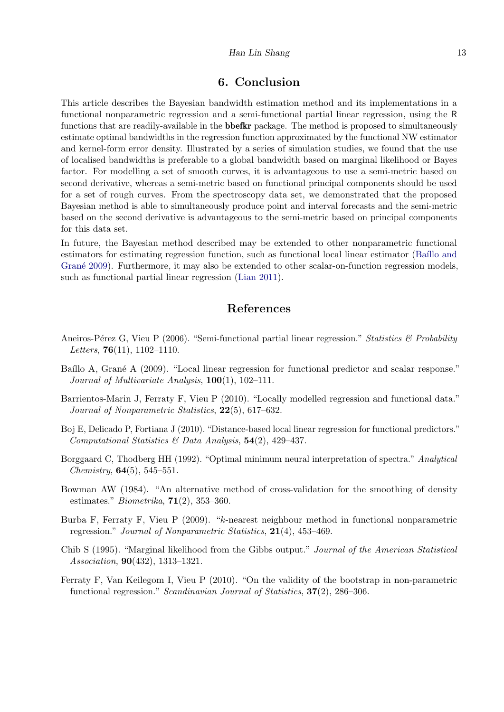#### Han Lin Shang 13

# 6. Conclusion

This article describes the Bayesian bandwidth estimation method and its implementations in a functional nonparametric regression and a semi-functional partial linear regression, using the R functions that are readily-available in the **bbefkr** package. The method is proposed to simultaneously estimate optimal bandwidths in the regression function approximated by the functional NW estimator and kernel-form error density. Illustrated by a series of simulation studies, we found that the use of localised bandwidths is preferable to a global bandwidth based on marginal likelihood or Bayes factor. For modelling a set of smooth curves, it is advantageous to use a semi-metric based on second derivative, whereas a semi-metric based on functional principal components should be used for a set of rough curves. From the spectroscopy data set, we demonstrated that the proposed Bayesian method is able to simultaneously produce point and interval forecasts and the semi-metric based on the second derivative is advantageous to the semi-metric based on principal components for this data set.

In future, the Bayesian method described may be extended to other nonparametric functional estimators for estimating regression function, such as functional local linear estimator (Baíllo and Grané [2009\)](#page-12-8). Furthermore, it may also be extended to other scalar-on-function regression models, such as functional partial linear regression [\(Lian](#page-13-15) [2011\)](#page-13-15).

# References

- <span id="page-12-7"></span>Aneiros-Pérez G, Vieu P (2006). "Semi-functional partial linear regression." Statistics & Probability Letters,  $76(11)$ ,  $1102-1110$ .
- <span id="page-12-8"></span>Baíllo A, Grané A (2009). "Local linear regression for functional predictor and scalar response." Journal of Multivariate Analysis,  $100(1)$ ,  $102-111$ .
- <span id="page-12-0"></span>Barrientos-Marin J, Ferraty F, Vieu P (2010). "Locally modelled regression and functional data." Journal of Nonparametric Statistics, 22(5), 617–632.
- <span id="page-12-2"></span>Boj E, Delicado P, Fortiana J (2010). "Distance-based local linear regression for functional predictors." Computational Statistics & Data Analysis,  $54(2)$ ,  $429-437$ .
- <span id="page-12-6"></span>Borggaard C, Thodberg HH (1992). "Optimal minimum neural interpretation of spectra." Analytical *Chemistry*,  $64(5)$ ,  $545-551$ .
- <span id="page-12-3"></span>Bowman AW (1984). "An alternative method of cross-validation for the smoothing of density estimates." *Biometrika*,  $71(2)$ , 353–360.
- <span id="page-12-1"></span>Burba F, Ferraty F, Vieu P (2009). "k-nearest neighbour method in functional nonparametric regression." Journal of Nonparametric Statistics, 21(4), 453–469.
- <span id="page-12-4"></span>Chib S (1995). "Marginal likelihood from the Gibbs output." Journal of the American Statistical Association, 90(432), 1313–1321.
- <span id="page-12-5"></span>Ferraty F, Van Keilegom I, Vieu P (2010). "On the validity of the bootstrap in non-parametric functional regression." Scandinavian Journal of Statistics, 37(2), 286–306.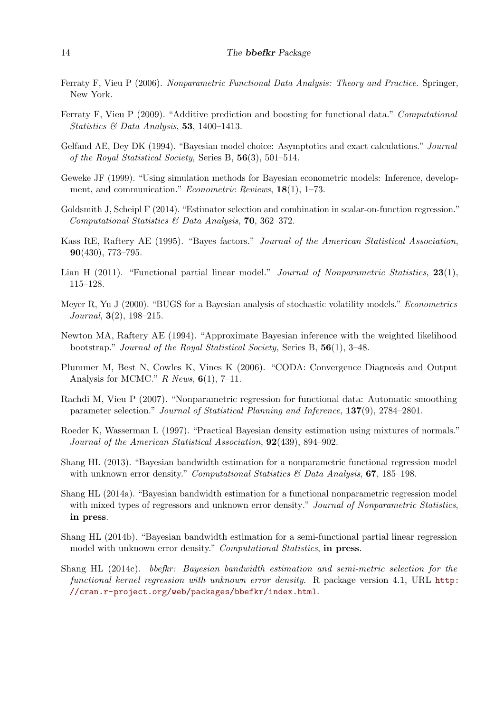- <span id="page-13-1"></span>Ferraty F, Vieu P (2006). Nonparametric Functional Data Analysis: Theory and Practice. Springer, New York.
- <span id="page-13-8"></span>Ferraty F, Vieu P (2009). "Additive prediction and boosting for functional data." Computational Statistics & Data Analysis, 53, 1400-1413.
- <span id="page-13-9"></span>Gelfand AE, Dey DK (1994). "Bayesian model choice: Asymptotics and exact calculations." Journal of the Royal Statistical Society, Series B, 56(3), 501–514.
- <span id="page-13-12"></span>Geweke JF (1999). "Using simulation methods for Bayesian econometric models: Inference, development, and communication." *Econometric Reviews*, **18**(1), 1–73.
- <span id="page-13-14"></span>Goldsmith J, Scheipl F (2014). "Estimator selection and combination in scalar-on-function regression." Computational Statistics & Data Analysis, 70, 362–372.
- <span id="page-13-11"></span>Kass RE, Raftery AE (1995). "Bayes factors." Journal of the American Statistical Association, 90(430), 773–795.
- <span id="page-13-15"></span>Lian H (2011). "Functional partial linear model." Journal of Nonparametric Statistics,  $23(1)$ , 115–128.
- <span id="page-13-6"></span>Meyer R, Yu J (2000). "BUGS for a Bayesian analysis of stochastic volatility models." Econometrics Journal, 3(2), 198–215.
- <span id="page-13-10"></span>Newton MA, Raftery AE (1994). "Approximate Bayesian inference with the weighted likelihood bootstrap." Journal of the Royal Statistical Society, Series B, 56(1), 3–48.
- <span id="page-13-7"></span>Plummer M, Best N, Cowles K, Vines K (2006). "CODA: Convergence Diagnosis and Output Analysis for MCMC."  $R$  News,  $6(1)$ , 7-11.
- <span id="page-13-2"></span>Rachdi M, Vieu P (2007). "Nonparametric regression for functional data: Automatic smoothing parameter selection." Journal of Statistical Planning and Inference, 137(9), 2784–2801.
- <span id="page-13-5"></span>Roeder K, Wasserman L (1997). "Practical Bayesian density estimation using mixtures of normals." Journal of the American Statistical Association, 92(439), 894–902.
- <span id="page-13-3"></span>Shang HL (2013). "Bayesian bandwidth estimation for a nonparametric functional regression model with unknown error density." Computational Statistics  $\mathcal{B}$  Data Analysis, **67**, 185–198.
- <span id="page-13-13"></span>Shang HL (2014a). "Bayesian bandwidth estimation for a functional nonparametric regression model with mixed types of regressors and unknown error density." Journal of Nonparametric Statistics, in press.
- <span id="page-13-4"></span>Shang HL (2014b). "Bayesian bandwidth estimation for a semi-functional partial linear regression model with unknown error density." *Computational Statistics*, in press.
- <span id="page-13-0"></span>Shang HL (2014c). bbefkr: Bayesian bandwidth estimation and semi-metric selection for the functional kernel regression with unknown error density. R package version 4.1, URL [http:](http://cran.r-project.org/web/packages/bbefkr/index.html) [//cran.r-project.org/web/packages/bbefkr/index.html](http://cran.r-project.org/web/packages/bbefkr/index.html).